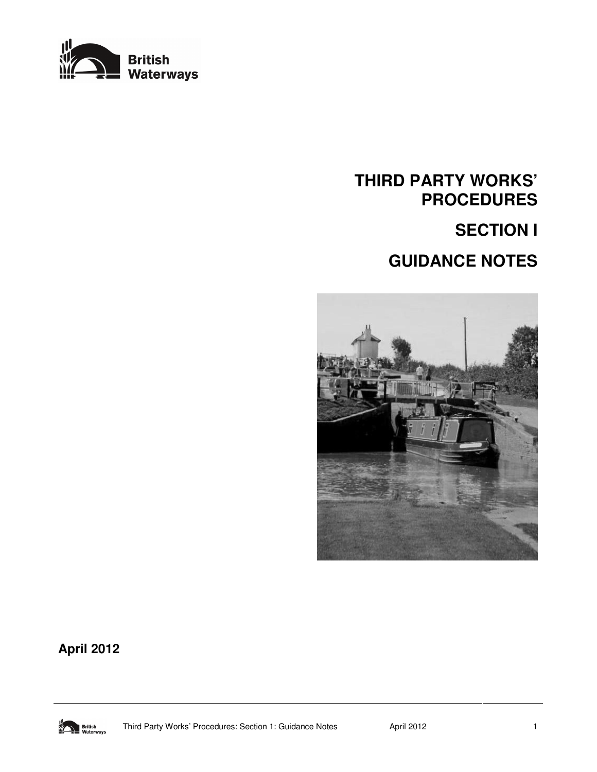

# **THIRD PARTY WORKS' PROCEDURES SECTION I GUIDANCE NOTES**



**April 2012** 

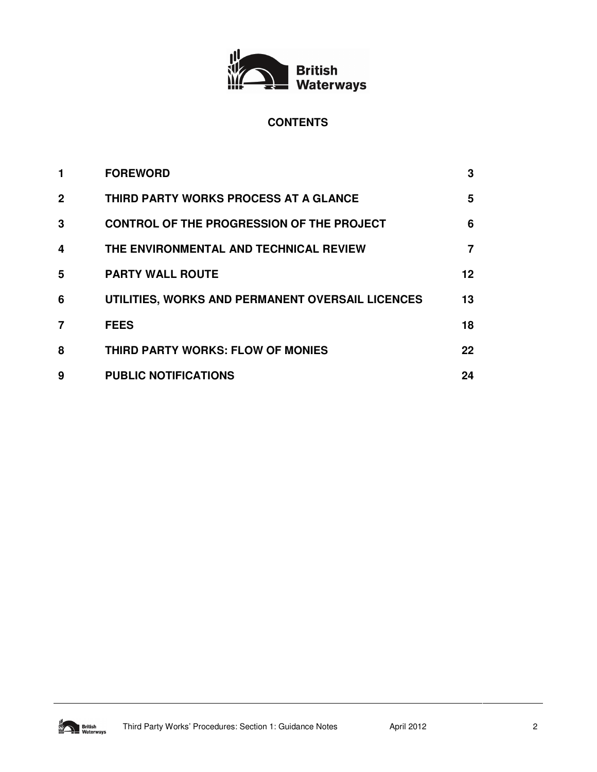

### **CONTENTS**

| 1            | <b>FOREWORD</b>                                  | 3       |
|--------------|--------------------------------------------------|---------|
| $\mathbf{2}$ | THIRD PARTY WORKS PROCESS AT A GLANCE            | 5       |
| 3            | <b>CONTROL OF THE PROGRESSION OF THE PROJECT</b> | 6       |
| 4            | THE ENVIRONMENTAL AND TECHNICAL REVIEW           | 7       |
| 5            | <b>PARTY WALL ROUTE</b>                          | 12      |
| 6            | UTILITIES, WORKS AND PERMANENT OVERSAIL LICENCES | 13      |
| 7            | <b>FEES</b>                                      | 18      |
| 8            | THIRD PARTY WORKS: FLOW OF MONIES                | $22 \,$ |
| 9            | <b>PUBLIC NOTIFICATIONS</b>                      | 24      |

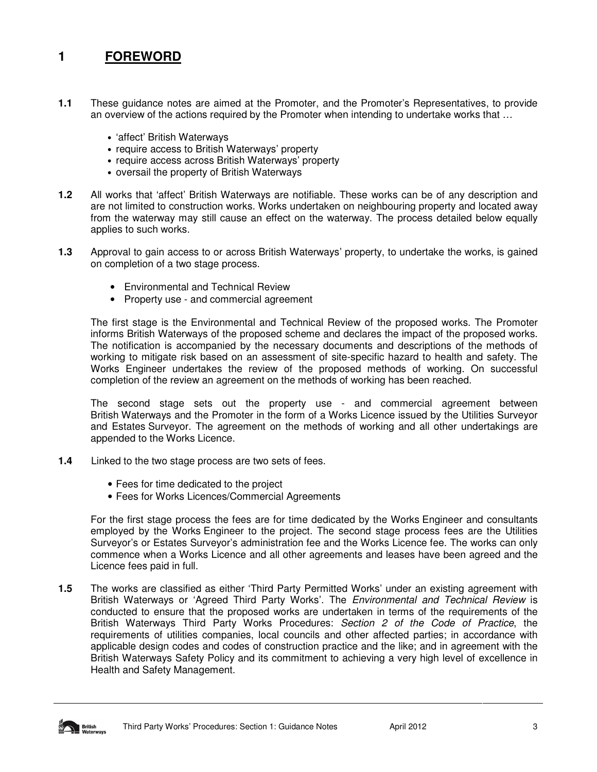# **1 FOREWORD**

- **1.1** These guidance notes are aimed at the Promoter, and the Promoter's Representatives, to provide an overview of the actions required by the Promoter when intending to undertake works that …
	- 'affect' British Waterways
	- require access to British Waterways' property
	- require access across British Waterways' property
	- oversail the property of British Waterways
- **1.2** All works that 'affect' British Waterways are notifiable. These works can be of any description and are not limited to construction works. Works undertaken on neighbouring property and located away from the waterway may still cause an effect on the waterway. The process detailed below equally applies to such works.
- **1.3** Approval to gain access to or across British Waterways' property, to undertake the works, is gained on completion of a two stage process.
	- Environmental and Technical Review
	- Property use and commercial agreement

The first stage is the Environmental and Technical Review of the proposed works. The Promoter informs British Waterways of the proposed scheme and declares the impact of the proposed works. The notification is accompanied by the necessary documents and descriptions of the methods of working to mitigate risk based on an assessment of site-specific hazard to health and safety. The Works Engineer undertakes the review of the proposed methods of working. On successful completion of the review an agreement on the methods of working has been reached.

The second stage sets out the property use - and commercial agreement between British Waterways and the Promoter in the form of a Works Licence issued by the Utilities Surveyor and Estates Surveyor. The agreement on the methods of working and all other undertakings are appended to the Works Licence.

- **1.4** Linked to the two stage process are two sets of fees.
	- Fees for time dedicated to the project
	- Fees for Works Licences/Commercial Agreements

For the first stage process the fees are for time dedicated by the Works Engineer and consultants employed by the Works Engineer to the project. The second stage process fees are the Utilities Surveyor's or Estates Surveyor's administration fee and the Works Licence fee. The works can only commence when a Works Licence and all other agreements and leases have been agreed and the Licence fees paid in full.

**1.5** The works are classified as either 'Third Party Permitted Works' under an existing agreement with British Waterways or 'Agreed Third Party Works'. The *Environmental and Technical Review* is conducted to ensure that the proposed works are undertaken in terms of the requirements of the British Waterways Third Party Works Procedures: Section 2 of the Code of Practice, the requirements of utilities companies, local councils and other affected parties; in accordance with applicable design codes and codes of construction practice and the like; and in agreement with the British Waterways Safety Policy and its commitment to achieving a very high level of excellence in Health and Safety Management.

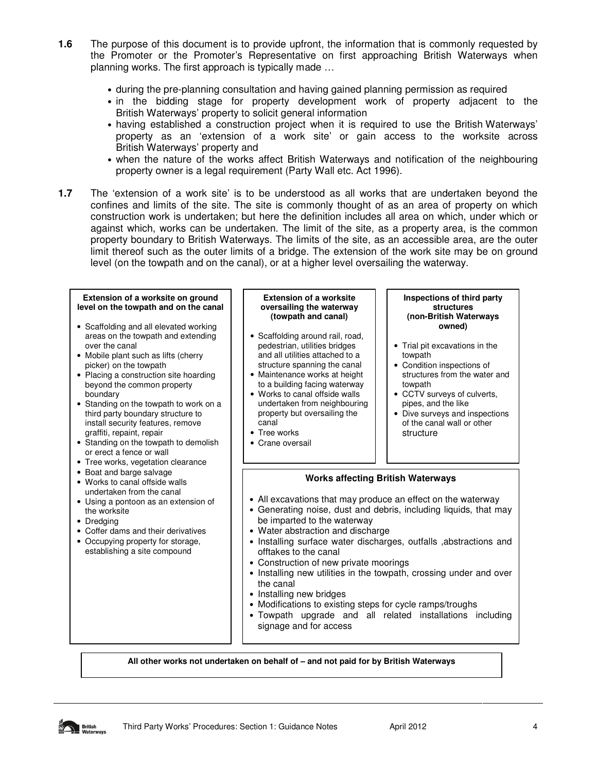- **1.6** The purpose of this document is to provide upfront, the information that is commonly requested by the Promoter or the Promoter's Representative on first approaching British Waterways when planning works. The first approach is typically made …
	- during the pre-planning consultation and having gained planning permission as required
	- in the bidding stage for property development work of property adjacent to the British Waterways' property to solicit general information
	- having established a construction project when it is required to use the British Waterways' property as an 'extension of a work site' or gain access to the worksite across British Waterways' property and
	- when the nature of the works affect British Waterways and notification of the neighbouring property owner is a legal requirement (Party Wall etc. Act 1996).
- **1.7** The 'extension of a work site' is to be understood as all works that are undertaken beyond the confines and limits of the site. The site is commonly thought of as an area of property on which construction work is undertaken; but here the definition includes all area on which, under which or against which, works can be undertaken. The limit of the site, as a property area, is the common property boundary to British Waterways. The limits of the site, as an accessible area, are the outer limit thereof such as the outer limits of a bridge. The extension of the work site may be on ground level (on the towpath and on the canal), or at a higher level oversailing the waterway.

#### **Extension of a worksite on ground level on the towpath and on the canal**

- Scaffolding and all elevated working areas on the towpath and extending over the canal
- Mobile plant such as lifts (cherry picker) on the towpath
- Placing a construction site hoarding beyond the common property boundary
- Standing on the towpath to work on a third party boundary structure to install security features, remove graffiti, repaint, repair
- Standing on the towpath to demolish or erect a fence or wall
- Tree works, vegetation clearance
- Boat and barge salvage
- Works to canal offside walls undertaken from the canal
- Using a pontoon as an extension of the worksite
- Dredging
- Coffer dams and their derivatives
- Occupying property for storage, establishing a site compound

#### **Extension of a worksite oversailing the waterway (towpath and canal)**

- Scaffolding around rail, road, pedestrian, utilities bridges and all utilities attached to a structure spanning the canal
- Maintenance works at height to a building facing waterway
- Works to canal offside walls undertaken from neighbouring property but oversailing the canal
- Tree works
- Crane oversail

#### **Inspections of third party structures (non-British Waterways owned)**

- Trial pit excavations in the towpath
- Condition inspections of structures from the water and towpath
- CCTV surveys of culverts, pipes, and the like
- Dive surveys and inspections of the canal wall or other structure

#### **Works affecting British Waterways**

- All excavations that may produce an effect on the waterway
- Generating noise, dust and debris, including liquids, that may be imparted to the waterway
- Water abstraction and discharge
- Installing surface water discharges, outfalls ,abstractions and offtakes to the canal
- Construction of new private moorings
- Installing new utilities in the towpath, crossing under and over the canal
- Installing new bridges
- Modifications to existing steps for cycle ramps/troughs
- Towpath upgrade and all related installations including signage and for access

**All other works not undertaken on behalf of – and not paid for by British Waterways**

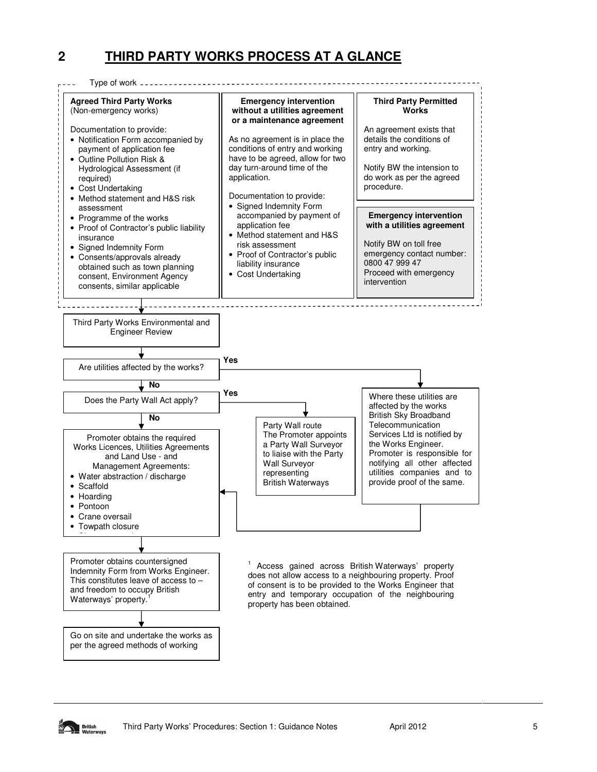# **2 THIRD PARTY WORKS PROCESS AT A GLANCE**



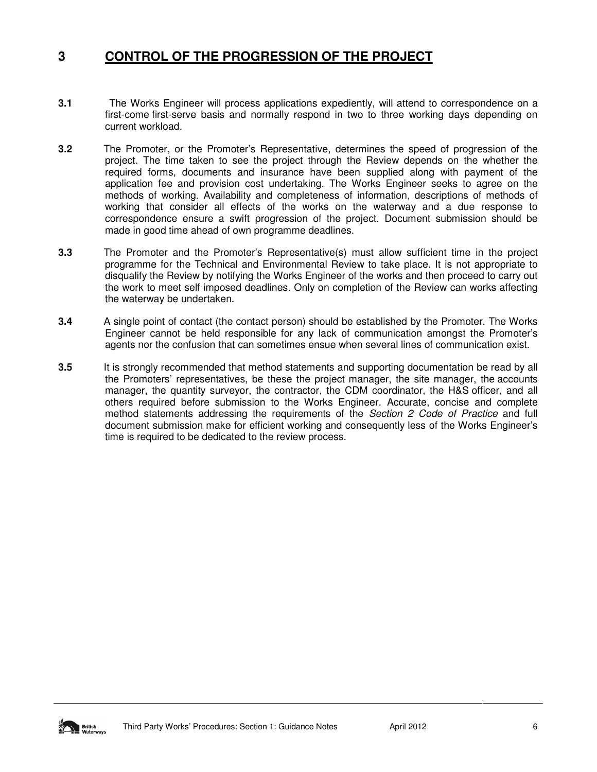### **3 CONTROL OF THE PROGRESSION OF THE PROJECT**

- **3.1** The Works Engineer will process applications expediently, will attend to correspondence on a first-come first-serve basis and normally respond in two to three working days depending on current workload.
- **3.2** The Promoter, or the Promoter's Representative, determines the speed of progression of the project. The time taken to see the project through the Review depends on the whether the required forms, documents and insurance have been supplied along with payment of the application fee and provision cost undertaking. The Works Engineer seeks to agree on the methods of working. Availability and completeness of information, descriptions of methods of working that consider all effects of the works on the waterway and a due response to correspondence ensure a swift progression of the project. Document submission should be made in good time ahead of own programme deadlines.
- **3.3** The Promoter and the Promoter's Representative(s) must allow sufficient time in the project programme for the Technical and Environmental Review to take place. It is not appropriate to disqualify the Review by notifying the Works Engineer of the works and then proceed to carry out the work to meet self imposed deadlines. Only on completion of the Review can works affecting the waterway be undertaken.
- **3.4** A single point of contact (the contact person) should be established by the Promoter. The Works Engineer cannot be held responsible for any lack of communication amongst the Promoter's agents nor the confusion that can sometimes ensue when several lines of communication exist.
- **3.5** It is strongly recommended that method statements and supporting documentation be read by all the Promoters' representatives, be these the project manager, the site manager, the accounts manager, the quantity surveyor, the contractor, the CDM coordinator, the H&S officer, and all others required before submission to the Works Engineer. Accurate, concise and complete method statements addressing the requirements of the Section 2 Code of Practice and full document submission make for efficient working and consequently less of the Works Engineer's time is required to be dedicated to the review process.

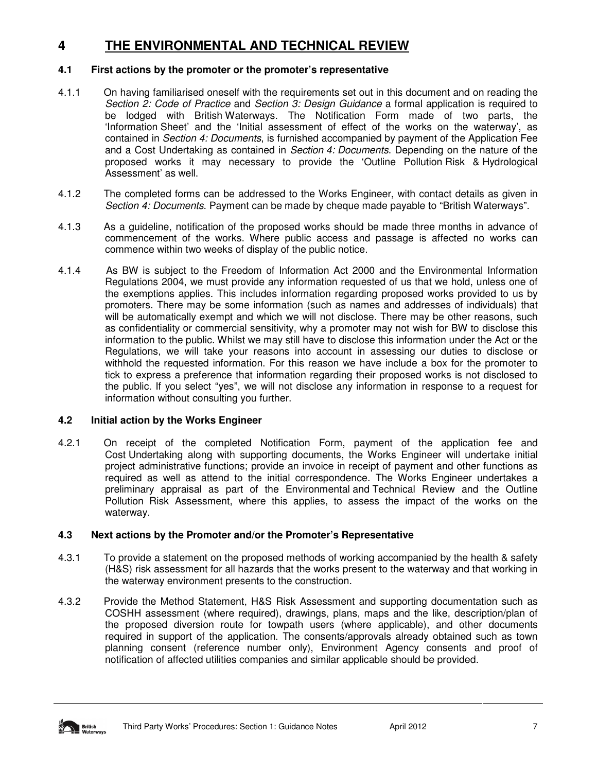# **4 THE ENVIRONMENTAL AND TECHNICAL REVIEW**

#### **4.1 First actions by the promoter or the promoter's representative**

- 4.1.1 On having familiarised oneself with the requirements set out in this document and on reading the Section 2: Code of Practice and Section 3: Design Guidance a formal application is required to be lodged with British Waterways. The Notification Form made of two parts, the 'Information Sheet' and the 'Initial assessment of effect of the works on the waterway', as contained in Section 4: Documents, is furnished accompanied by payment of the Application Fee and a Cost Undertaking as contained in Section 4: Documents. Depending on the nature of the proposed works it may necessary to provide the 'Outline Pollution Risk & Hydrological Assessment' as well.
- 4.1.2 The completed forms can be addressed to the Works Engineer, with contact details as given in Section 4: Documents. Payment can be made by cheque made payable to "British Waterways".
- 4.1.3 As a guideline, notification of the proposed works should be made three months in advance of commencement of the works. Where public access and passage is affected no works can commence within two weeks of display of the public notice.
- 4.1.4 As BW is subject to the Freedom of Information Act 2000 and the Environmental Information Regulations 2004, we must provide any information requested of us that we hold, unless one of the exemptions applies. This includes information regarding proposed works provided to us by promoters. There may be some information (such as names and addresses of individuals) that will be automatically exempt and which we will not disclose. There may be other reasons, such as confidentiality or commercial sensitivity, why a promoter may not wish for BW to disclose this information to the public. Whilst we may still have to disclose this information under the Act or the Regulations, we will take your reasons into account in assessing our duties to disclose or withhold the requested information. For this reason we have include a box for the promoter to tick to express a preference that information regarding their proposed works is not disclosed to the public. If you select "yes", we will not disclose any information in response to a request for information without consulting you further.

#### **4.2 Initial action by the Works Engineer**

4.2.1 On receipt of the completed Notification Form, payment of the application fee and Cost Undertaking along with supporting documents, the Works Engineer will undertake initial project administrative functions; provide an invoice in receipt of payment and other functions as required as well as attend to the initial correspondence. The Works Engineer undertakes a preliminary appraisal as part of the Environmental and Technical Review and the Outline Pollution Risk Assessment, where this applies, to assess the impact of the works on the waterway.

#### **4.3 Next actions by the Promoter and/or the Promoter's Representative**

- 4.3.1 To provide a statement on the proposed methods of working accompanied by the health & safety (H&S) risk assessment for all hazards that the works present to the waterway and that working in the waterway environment presents to the construction.
- 4.3.2 Provide the Method Statement, H&S Risk Assessment and supporting documentation such as COSHH assessment (where required), drawings, plans, maps and the like, description/plan of the proposed diversion route for towpath users (where applicable), and other documents required in support of the application. The consents/approvals already obtained such as town planning consent (reference number only), Environment Agency consents and proof of notification of affected utilities companies and similar applicable should be provided.

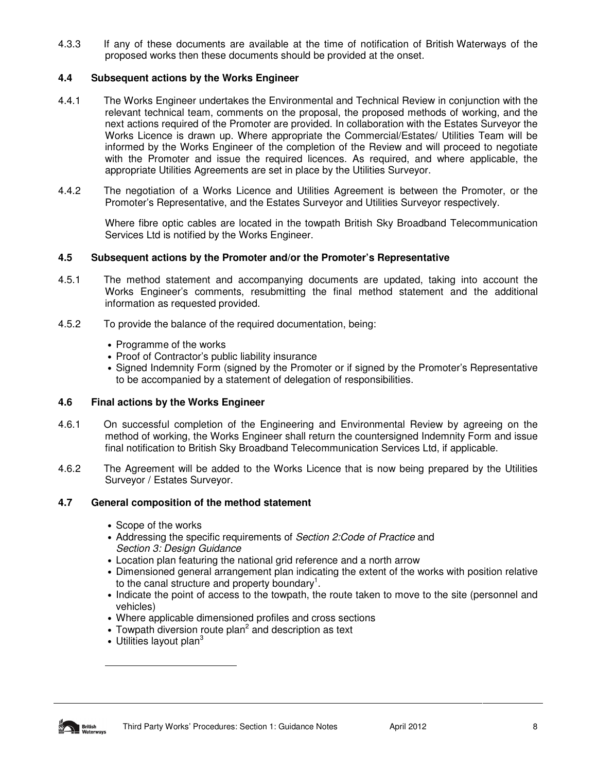4.3.3 If any of these documents are available at the time of notification of British Waterways of the proposed works then these documents should be provided at the onset.

#### **4.4 Subsequent actions by the Works Engineer**

- 4.4.1 The Works Engineer undertakes the Environmental and Technical Review in conjunction with the relevant technical team, comments on the proposal, the proposed methods of working, and the next actions required of the Promoter are provided. In collaboration with the Estates Surveyor the Works Licence is drawn up. Where appropriate the Commercial/Estates/ Utilities Team will be informed by the Works Engineer of the completion of the Review and will proceed to negotiate with the Promoter and issue the required licences. As required, and where applicable, the appropriate Utilities Agreements are set in place by the Utilities Surveyor.
- 4.4.2 The negotiation of a Works Licence and Utilities Agreement is between the Promoter, or the Promoter's Representative, and the Estates Surveyor and Utilities Surveyor respectively.

Where fibre optic cables are located in the towpath British Sky Broadband Telecommunication Services Ltd is notified by the Works Engineer.

#### **4.5 Subsequent actions by the Promoter and/or the Promoter's Representative**

- 4.5.1 The method statement and accompanying documents are updated, taking into account the Works Engineer's comments, resubmitting the final method statement and the additional information as requested provided.
- 4.5.2 To provide the balance of the required documentation, being:
	- Programme of the works
	- Proof of Contractor's public liability insurance
	- Signed Indemnity Form (signed by the Promoter or if signed by the Promoter's Representative to be accompanied by a statement of delegation of responsibilities.

#### **4.6 Final actions by the Works Engineer**

- 4.6.1 On successful completion of the Engineering and Environmental Review by agreeing on the method of working, the Works Engineer shall return the countersigned Indemnity Form and issue final notification to British Sky Broadband Telecommunication Services Ltd, if applicable.
- 4.6.2 The Agreement will be added to the Works Licence that is now being prepared by the Utilities Surveyor / Estates Surveyor.

#### **4.7 General composition of the method statement**

- Scope of the works
- Addressing the specific requirements of Section 2: Code of Practice and Section 3: Desian Guidance
- Location plan featuring the national grid reference and a north arrow
- Dimensioned general arrangement plan indicating the extent of the works with position relative to the canal structure and property boundary<sup>1</sup>.
- Indicate the point of access to the towpath, the route taken to move to the site (personnel and vehicles)
- Where applicable dimensioned profiles and cross sections
- Towpath diversion route plan<sup>2</sup> and description as text
- Utilities layout plan<sup>3</sup>



 $\overline{a}$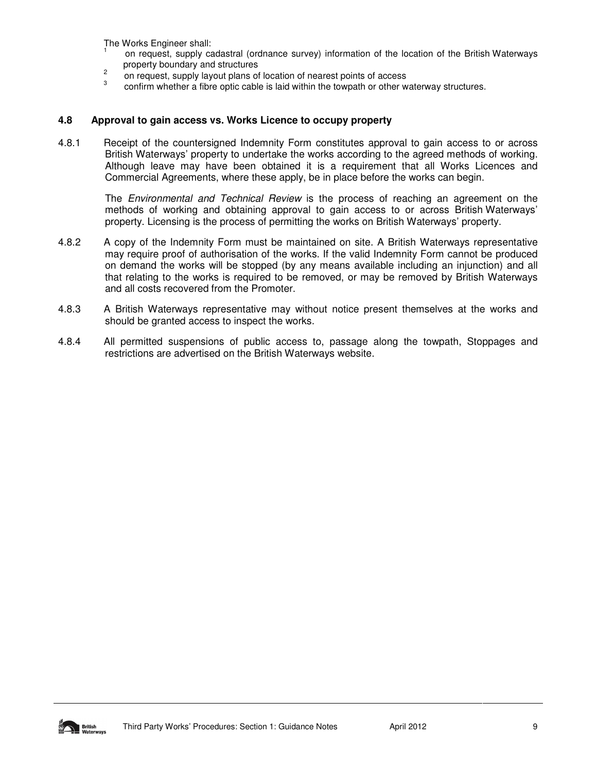The Works Engineer shall: 1

- on request, supply cadastral (ordnance survey) information of the location of the British Waterways property boundary and structures
- 2 on request, supply layout plans of location of nearest points of access
- 3 confirm whether a fibre optic cable is laid within the towpath or other waterway structures.

#### **4.8 Approval to gain access vs. Works Licence to occupy property**

4.8.1 Receipt of the countersigned Indemnity Form constitutes approval to gain access to or across British Waterways' property to undertake the works according to the agreed methods of working. Although leave may have been obtained it is a requirement that all Works Licences and Commercial Agreements, where these apply, be in place before the works can begin.

The Environmental and Technical Review is the process of reaching an agreement on the methods of working and obtaining approval to gain access to or across British Waterways' property. Licensing is the process of permitting the works on British Waterways' property.

- 4.8.2 A copy of the Indemnity Form must be maintained on site. A British Waterways representative may require proof of authorisation of the works. If the valid Indemnity Form cannot be produced on demand the works will be stopped (by any means available including an injunction) and all that relating to the works is required to be removed, or may be removed by British Waterways and all costs recovered from the Promoter.
- 4.8.3 A British Waterways representative may without notice present themselves at the works and should be granted access to inspect the works.
- 4.8.4 All permitted suspensions of public access to, passage along the towpath, Stoppages and restrictions are advertised on the British Waterways website.

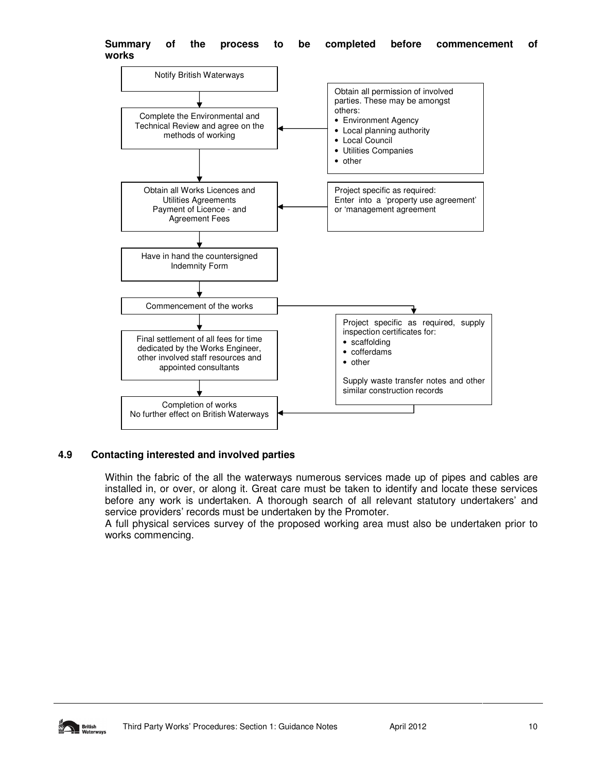

#### **Summary of the process to be completed before commencement of works**

#### **4.9 Contacting interested and involved parties**

Within the fabric of the all the waterways numerous services made up of pipes and cables are installed in, or over, or along it. Great care must be taken to identify and locate these services before any work is undertaken. A thorough search of all relevant statutory undertakers' and service providers' records must be undertaken by the Promoter.

A full physical services survey of the proposed working area must also be undertaken prior to works commencing.

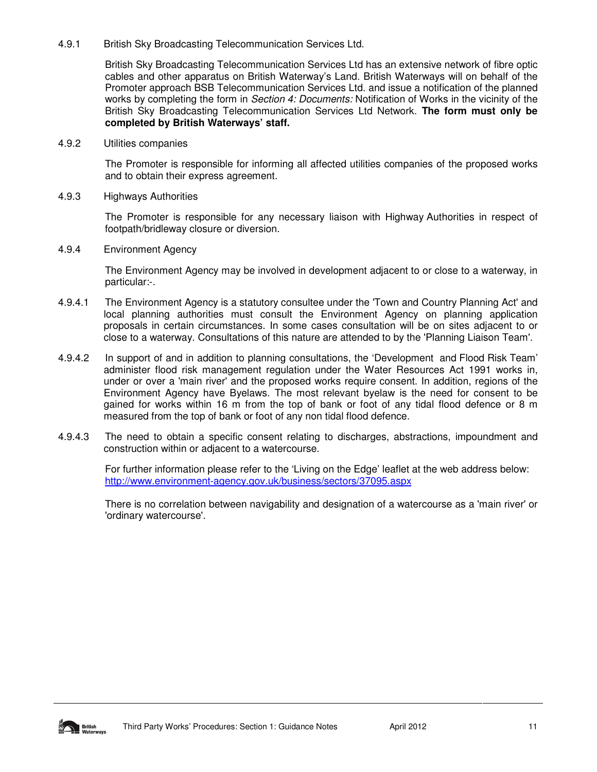#### 4.9.1 British Sky Broadcasting Telecommunication Services Ltd.

British Sky Broadcasting Telecommunication Services Ltd has an extensive network of fibre optic cables and other apparatus on British Waterway's Land. British Waterways will on behalf of the Promoter approach BSB Telecommunication Services Ltd. and issue a notification of the planned works by completing the form in Section 4: Documents: Notification of Works in the vicinity of the British Sky Broadcasting Telecommunication Services Ltd Network. **The form must only be completed by British Waterways' staff.** 

#### 4.9.2 Utilities companies

The Promoter is responsible for informing all affected utilities companies of the proposed works and to obtain their express agreement.

#### 4.9.3 Highways Authorities

The Promoter is responsible for any necessary liaison with Highway Authorities in respect of footpath/bridleway closure or diversion.

#### 4.9.4 Environment Agency

The Environment Agency may be involved in development adjacent to or close to a waterway, in particular:-.

- 4.9.4.1 The Environment Agency is a statutory consultee under the 'Town and Country Planning Act' and local planning authorities must consult the Environment Agency on planning application proposals in certain circumstances. In some cases consultation will be on sites adjacent to or close to a waterway. Consultations of this nature are attended to by the 'Planning Liaison Team'.
- 4.9.4.2 In support of and in addition to planning consultations, the 'Development and Flood Risk Team' administer flood risk management regulation under the Water Resources Act 1991 works in, under or over a 'main river' and the proposed works require consent. In addition, regions of the Environment Agency have Byelaws. The most relevant byelaw is the need for consent to be gained for works within 16 m from the top of bank or foot of any tidal flood defence or 8 m measured from the top of bank or foot of any non tidal flood defence.
- 4.9.4.3 The need to obtain a specific consent relating to discharges, abstractions, impoundment and construction within or adjacent to a watercourse.

For further information please refer to the 'Living on the Edge' leaflet at the web address below: http://www.environment-agency.gov.uk/business/sectors/37095.aspx

There is no correlation between navigability and designation of a watercourse as a 'main river' or 'ordinary watercourse'.

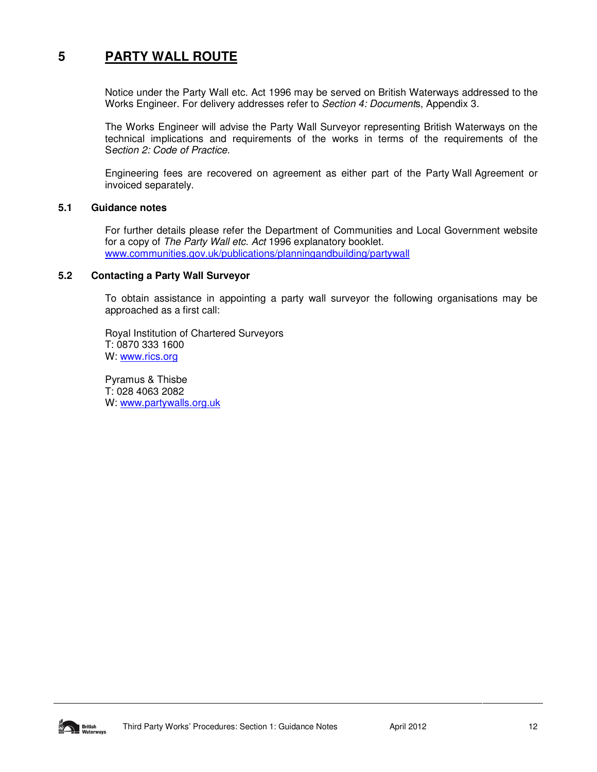### **5 PARTY WALL ROUTE**

Notice under the Party Wall etc. Act 1996 may be served on British Waterways addressed to the Works Engineer. For delivery addresses refer to Section 4: Documents, Appendix 3.

The Works Engineer will advise the Party Wall Surveyor representing British Waterways on the technical implications and requirements of the works in terms of the requirements of the Section 2: Code of Practice.

Engineering fees are recovered on agreement as either part of the Party Wall Agreement or invoiced separately.

#### **5.1 Guidance notes**

For further details please refer the Department of Communities and Local Government website for a copy of The Party Wall etc. Act 1996 explanatory booklet. www.communities.gov.uk/publications/planningandbuilding/partywall

#### **5.2 Contacting a Party Wall Surveyor**

To obtain assistance in appointing a party wall surveyor the following organisations may be approached as a first call:

Royal Institution of Chartered Surveyors T: 0870 333 1600 W: www.rics.org

Pyramus & Thisbe T: 028 4063 2082 W: www.partywalls.org.uk

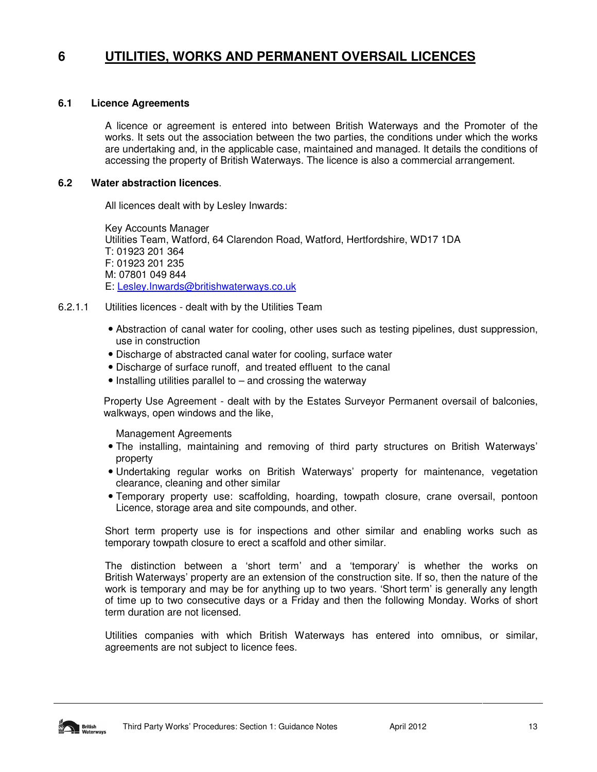### **6 UTILITIES, WORKS AND PERMANENT OVERSAIL LICENCES**

#### **6.1 Licence Agreements**

A licence or agreement is entered into between British Waterways and the Promoter of the works. It sets out the association between the two parties, the conditions under which the works are undertaking and, in the applicable case, maintained and managed. It details the conditions of accessing the property of British Waterways. The licence is also a commercial arrangement.

#### **6.2 Water abstraction licences**.

All licences dealt with by Lesley Inwards:

Key Accounts Manager Utilities Team, Watford, 64 Clarendon Road, Watford, Hertfordshire, WD17 1DA T: 01923 201 364 F: 01923 201 235 M: 07801 049 844 E: Lesley.Inwards@britishwaterways.co.uk

- 6.2.1.1 Utilities licences dealt with by the Utilities Team
	- Abstraction of canal water for cooling, other uses such as testing pipelines, dust suppression, use in construction
	- Discharge of abstracted canal water for cooling, surface water
	- Discharge of surface runoff, and treated effluent to the canal
	- Installing utilities parallel to and crossing the waterway

Property Use Agreement - dealt with by the Estates Surveyor Permanent oversail of balconies, walkways, open windows and the like,

Management Agreements

- The installing, maintaining and removing of third party structures on British Waterways' property
- Undertaking regular works on British Waterways' property for maintenance, vegetation clearance, cleaning and other similar
- Temporary property use: scaffolding, hoarding, towpath closure, crane oversail, pontoon Licence, storage area and site compounds, and other.

Short term property use is for inspections and other similar and enabling works such as temporary towpath closure to erect a scaffold and other similar.

The distinction between a 'short term' and a 'temporary' is whether the works on British Waterways' property are an extension of the construction site. If so, then the nature of the work is temporary and may be for anything up to two years. 'Short term' is generally any length of time up to two consecutive days or a Friday and then the following Monday. Works of short term duration are not licensed.

Utilities companies with which British Waterways has entered into omnibus, or similar, agreements are not subject to licence fees.

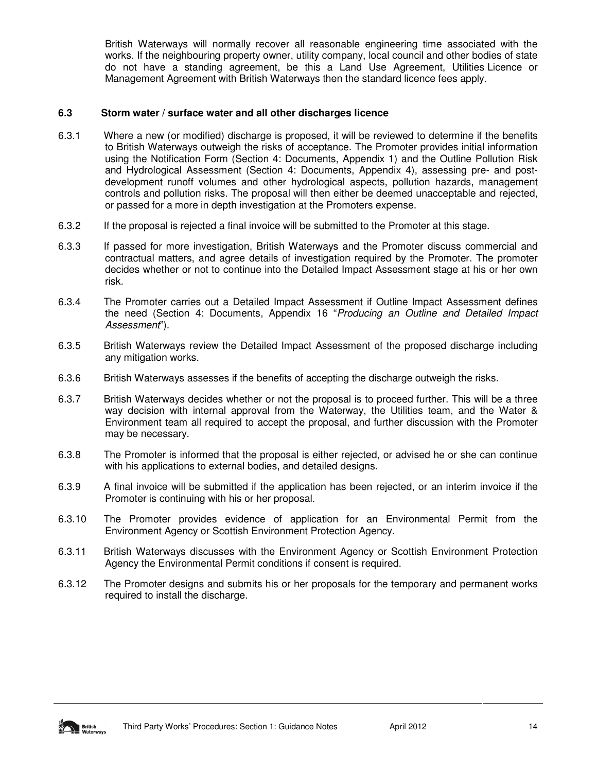British Waterways will normally recover all reasonable engineering time associated with the works. If the neighbouring property owner, utility company, local council and other bodies of state do not have a standing agreement, be this a Land Use Agreement, Utilities Licence or Management Agreement with British Waterways then the standard licence fees apply.

#### **6.3 Storm water / surface water and all other discharges licence**

- 6.3.1 Where a new (or modified) discharge is proposed, it will be reviewed to determine if the benefits to British Waterways outweigh the risks of acceptance. The Promoter provides initial information using the Notification Form (Section 4: Documents, Appendix 1) and the Outline Pollution Risk and Hydrological Assessment (Section 4: Documents, Appendix 4), assessing pre- and postdevelopment runoff volumes and other hydrological aspects, pollution hazards, management controls and pollution risks. The proposal will then either be deemed unacceptable and rejected, or passed for a more in depth investigation at the Promoters expense.
- 6.3.2 If the proposal is rejected a final invoice will be submitted to the Promoter at this stage.
- 6.3.3 If passed for more investigation, British Waterways and the Promoter discuss commercial and contractual matters, and agree details of investigation required by the Promoter. The promoter decides whether or not to continue into the Detailed Impact Assessment stage at his or her own risk.
- 6.3.4 The Promoter carries out a Detailed Impact Assessment if Outline Impact Assessment defines the need (Section 4: Documents, Appendix 16 "Producing an Outline and Detailed Impact Assessment").
- 6.3.5 British Waterways review the Detailed Impact Assessment of the proposed discharge including any mitigation works.
- 6.3.6 British Waterways assesses if the benefits of accepting the discharge outweigh the risks.
- 6.3.7 British Waterways decides whether or not the proposal is to proceed further. This will be a three way decision with internal approval from the Waterway, the Utilities team, and the Water & Environment team all required to accept the proposal, and further discussion with the Promoter may be necessary.
- 6.3.8 The Promoter is informed that the proposal is either rejected, or advised he or she can continue with his applications to external bodies, and detailed designs.
- 6.3.9 A final invoice will be submitted if the application has been rejected, or an interim invoice if the Promoter is continuing with his or her proposal.
- 6.3.10 The Promoter provides evidence of application for an Environmental Permit from the Environment Agency or Scottish Environment Protection Agency.
- 6.3.11 British Waterways discusses with the Environment Agency or Scottish Environment Protection Agency the Environmental Permit conditions if consent is required.
- 6.3.12 The Promoter designs and submits his or her proposals for the temporary and permanent works required to install the discharge.

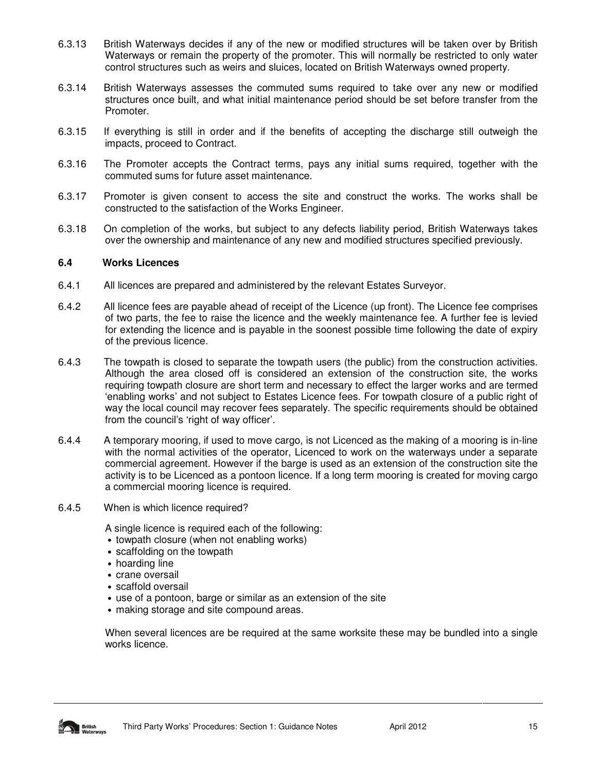- 6.3.13 British Waterways decides if any of the new or modified structures will be taken over by British Waterways or remain the property of the promoter. This will normally be restricted to only water control structures such as weirs and sluices, located on British Waterways owned property.
- 6.3.14 British Waterways assesses the commuted sums required to take over any new or modified structures once built, and what initial maintenance period should be set before transfer from the Promoter.
- 6.3.15 If everything is still in order and if the benefits of accepting the discharge still outweigh the impacts, proceed to Contract.
- 6.3.16 The Promoter accepts the Contract terms, pays any initial sums required, together with the commuted sums for future asset maintenance.
- 6.3.17 Promoter is given consent to access the site and construct the works. The works shall be constructed to the satisfaction of the Works Engineer.
- 6.3.18 On completion of the works, but subject to any defects liability period, British Waterways takes over the ownership and maintenance of any new and modified structures specified previously.

#### **6.4 Works Licences**

- 6.4.1 All licences are prepared and administered by the relevant Estates Surveyor.
- 6.4.2 All licence fees are payable ahead of receipt of the Licence (up front). The Licence fee comprises of two parts, the fee to raise the licence and the weekly maintenance fee. A further fee is levied for extending the licence and is payable in the soonest possible time following the date of expiry of the previous licence.
- 6.4.3 The towpath is closed to separate the towpath users (the public) from the construction activities. Although the area closed off is considered an extension of the construction site, the works requiring towpath closure are short term and necessary to effect the larger works and are termed 'enabling works' and not subject to Estates Licence fees. For towpath closure of a public right of way the local council may recover fees separately. The specific requirements should be obtained from the council's 'right of way officer'.
- 6.4.4 A temporary mooring, if used to move cargo, is not Licenced as the making of a mooring is in-line with the normal activities of the operator, Licenced to work on the waterways under a separate commercial agreement. However if the barge is used as an extension of the construction site the activity is to be Licenced as a pontoon licence. If a long term mooring is created for moving cargo a commercial mooring licence is required.
- 6.4.5 When is which licence required?

A single licence is required each of the following:

- towpath closure (when not enabling works)
- scaffolding on the towpath
- hoarding line
- crane oversail
- scaffold oversail
- use of a pontoon, barge or similar as an extension of the site
- making storage and site compound areas.

When several licences are be required at the same worksite these may be bundled into a single works licence.

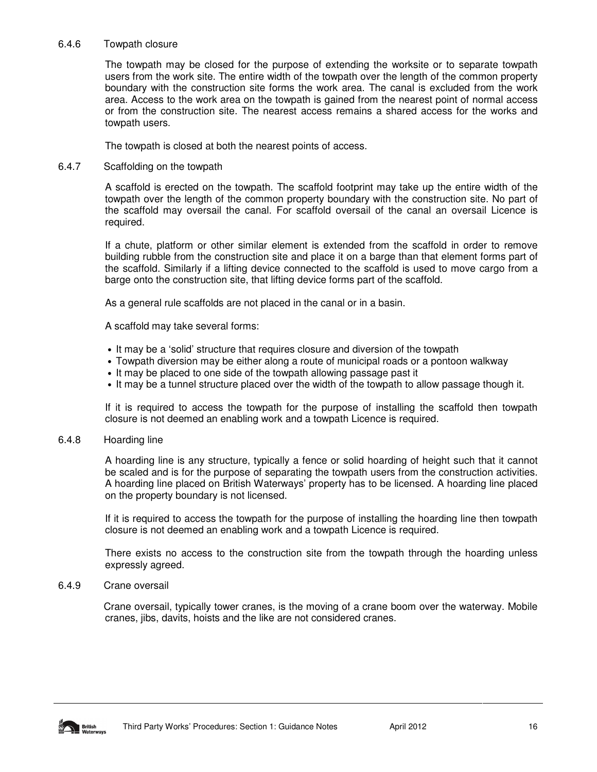#### 6.4.6 Towpath closure

The towpath may be closed for the purpose of extending the worksite or to separate towpath users from the work site. The entire width of the towpath over the length of the common property boundary with the construction site forms the work area. The canal is excluded from the work area. Access to the work area on the towpath is gained from the nearest point of normal access or from the construction site. The nearest access remains a shared access for the works and towpath users.

The towpath is closed at both the nearest points of access.

#### 6.4.7 Scaffolding on the towpath

A scaffold is erected on the towpath. The scaffold footprint may take up the entire width of the towpath over the length of the common property boundary with the construction site. No part of the scaffold may oversail the canal. For scaffold oversail of the canal an oversail Licence is required.

If a chute, platform or other similar element is extended from the scaffold in order to remove building rubble from the construction site and place it on a barge than that element forms part of the scaffold. Similarly if a lifting device connected to the scaffold is used to move cargo from a barge onto the construction site, that lifting device forms part of the scaffold.

As a general rule scaffolds are not placed in the canal or in a basin.

A scaffold may take several forms:

- It may be a 'solid' structure that requires closure and diversion of the towpath
- Towpath diversion may be either along a route of municipal roads or a pontoon walkway
- It may be placed to one side of the towpath allowing passage past it
- It may be a tunnel structure placed over the width of the towpath to allow passage though it.

If it is required to access the towpath for the purpose of installing the scaffold then towpath closure is not deemed an enabling work and a towpath Licence is required.

#### 6.4.8 Hoarding line

A hoarding line is any structure, typically a fence or solid hoarding of height such that it cannot be scaled and is for the purpose of separating the towpath users from the construction activities. A hoarding line placed on British Waterways' property has to be licensed. A hoarding line placed on the property boundary is not licensed.

If it is required to access the towpath for the purpose of installing the hoarding line then towpath closure is not deemed an enabling work and a towpath Licence is required.

There exists no access to the construction site from the towpath through the hoarding unless expressly agreed.

#### 6.4.9 Crane oversail

 Crane oversail, typically tower cranes, is the moving of a crane boom over the waterway. Mobile cranes, jibs, davits, hoists and the like are not considered cranes.

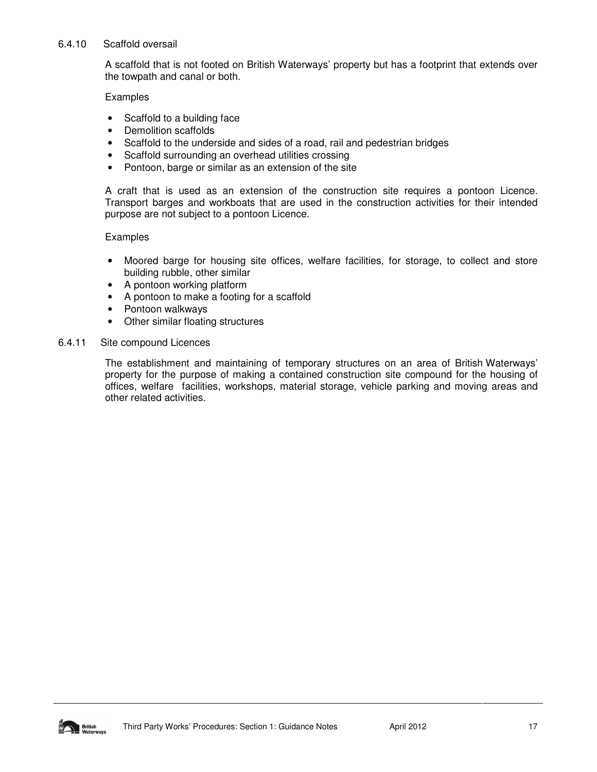#### 6.4.10 Scaffold oversail

A scaffold that is not footed on British Waterways' property but has a footprint that extends over the towpath and canal or both.

Examples

- Scaffold to a building face
- Demolition scaffolds
- Scaffold to the underside and sides of a road, rail and pedestrian bridges
- Scaffold surrounding an overhead utilities crossing
- Pontoon, barge or similar as an extension of the site

A craft that is used as an extension of the construction site requires a pontoon Licence. Transport barges and workboats that are used in the construction activities for their intended purpose are not subject to a pontoon Licence.

#### Examples

- Moored barge for housing site offices, welfare facilities, for storage, to collect and store building rubble, other similar
- A pontoon working platform
- A pontoon to make a footing for a scaffold
- Pontoon walkways
- Other similar floating structures

#### 6.4.11 Site compound Licences

The establishment and maintaining of temporary structures on an area of British Waterways' property for the purpose of making a contained construction site compound for the housing of offices, welfare facilities, workshops, material storage, vehicle parking and moving areas and other related activities.

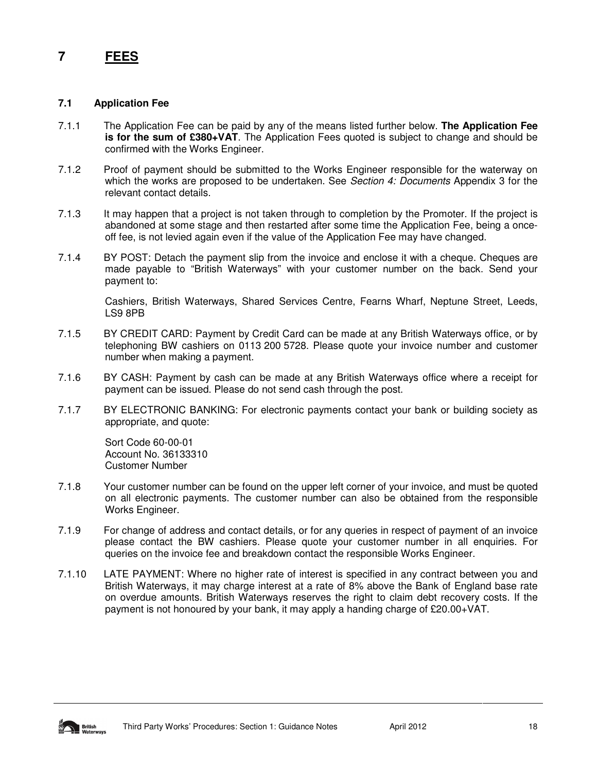### **7 FEES**

#### **7.1 Application Fee**

- 7.1.1 The Application Fee can be paid by any of the means listed further below. **The Application Fee is for the sum of £380+VAT**. The Application Fees quoted is subject to change and should be confirmed with the Works Engineer.
- 7.1.2 Proof of payment should be submitted to the Works Engineer responsible for the waterway on which the works are proposed to be undertaken. See Section 4: Documents Appendix 3 for the relevant contact details.
- 7.1.3 It may happen that a project is not taken through to completion by the Promoter. If the project is abandoned at some stage and then restarted after some time the Application Fee, being a onceoff fee, is not levied again even if the value of the Application Fee may have changed.
- 7.1.4 BY POST: Detach the payment slip from the invoice and enclose it with a cheque. Cheques are made payable to "British Waterways" with your customer number on the back. Send your payment to:

Cashiers, British Waterways, Shared Services Centre, Fearns Wharf, Neptune Street, Leeds, LS9 8PB

- 7.1.5 BY CREDIT CARD: Payment by Credit Card can be made at any British Waterways office, or by telephoning BW cashiers on 0113 200 5728. Please quote your invoice number and customer number when making a payment.
- 7.1.6 BY CASH: Payment by cash can be made at any British Waterways office where a receipt for payment can be issued. Please do not send cash through the post.
- 7.1.7 BY ELECTRONIC BANKING: For electronic payments contact your bank or building society as appropriate, and quote:

Sort Code 60-00-01 Account No. 36133310 Customer Number

- 7.1.8 Your customer number can be found on the upper left corner of your invoice, and must be quoted on all electronic payments. The customer number can also be obtained from the responsible Works Engineer.
- 7.1.9 For change of address and contact details, or for any queries in respect of payment of an invoice please contact the BW cashiers. Please quote your customer number in all enquiries. For queries on the invoice fee and breakdown contact the responsible Works Engineer.
- 7.1.10 LATE PAYMENT: Where no higher rate of interest is specified in any contract between you and British Waterways, it may charge interest at a rate of 8% above the Bank of England base rate on overdue amounts. British Waterways reserves the right to claim debt recovery costs. If the payment is not honoured by your bank, it may apply a handing charge of £20.00+VAT.

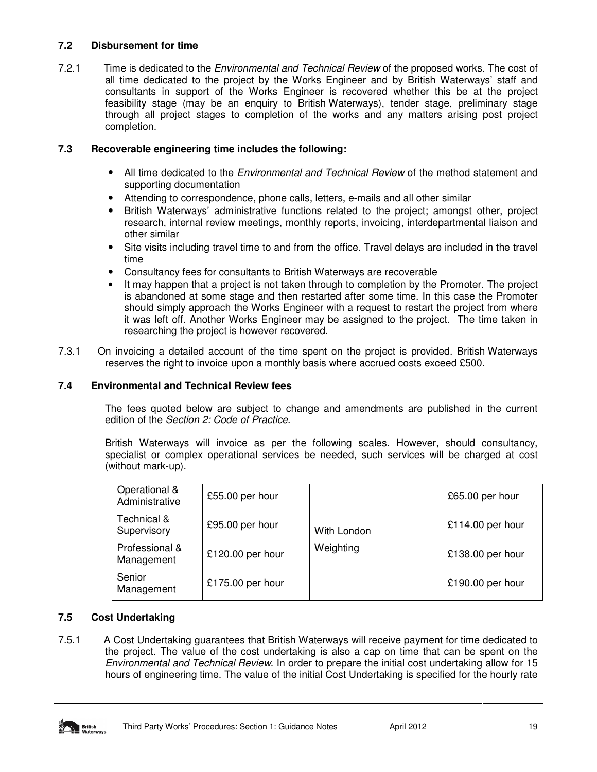### **7.2 Disbursement for time**

7.2.1 Time is dedicated to the *Environmental and Technical Review* of the proposed works. The cost of all time dedicated to the project by the Works Engineer and by British Waterways' staff and consultants in support of the Works Engineer is recovered whether this be at the project feasibility stage (may be an enquiry to British Waterways), tender stage, preliminary stage through all project stages to completion of the works and any matters arising post project completion.

#### **7.3 Recoverable engineering time includes the following:**

- All time dedicated to the *Environmental and Technical Review* of the method statement and supporting documentation
- Attending to correspondence, phone calls, letters, e-mails and all other similar
- British Waterways' administrative functions related to the project; amongst other, project research, internal review meetings, monthly reports, invoicing, interdepartmental liaison and other similar
- Site visits including travel time to and from the office. Travel delays are included in the travel time
- Consultancy fees for consultants to British Waterways are recoverable
- It may happen that a project is not taken through to completion by the Promoter. The project is abandoned at some stage and then restarted after some time. In this case the Promoter should simply approach the Works Engineer with a request to restart the project from where it was left off. Another Works Engineer may be assigned to the project. The time taken in researching the project is however recovered.
- 7.3.1 On invoicing a detailed account of the time spent on the project is provided. British Waterways reserves the right to invoice upon a monthly basis where accrued costs exceed £500.

#### **7.4 Environmental and Technical Review fees**

The fees quoted below are subject to change and amendments are published in the current edition of the Section 2: Code of Practice.

British Waterways will invoice as per the following scales. However, should consultancy, specialist or complex operational services be needed, such services will be charged at cost (without mark-up).

| Operational &<br>Administrative | £55.00 per hour  | With London<br>Weighting | £65.00 per hour  |
|---------------------------------|------------------|--------------------------|------------------|
| Technical &<br>Supervisory      | £95.00 per hour  |                          | £114.00 per hour |
| Professional &<br>Management    | £120.00 per hour |                          | £138.00 per hour |
| Senior<br>Management            | £175.00 per hour |                          | £190.00 per hour |

### **7.5 Cost Undertaking**

7.5.1 A Cost Undertaking guarantees that British Waterways will receive payment for time dedicated to the project. The value of the cost undertaking is also a cap on time that can be spent on the Environmental and Technical Review. In order to prepare the initial cost undertaking allow for 15 hours of engineering time. The value of the initial Cost Undertaking is specified for the hourly rate

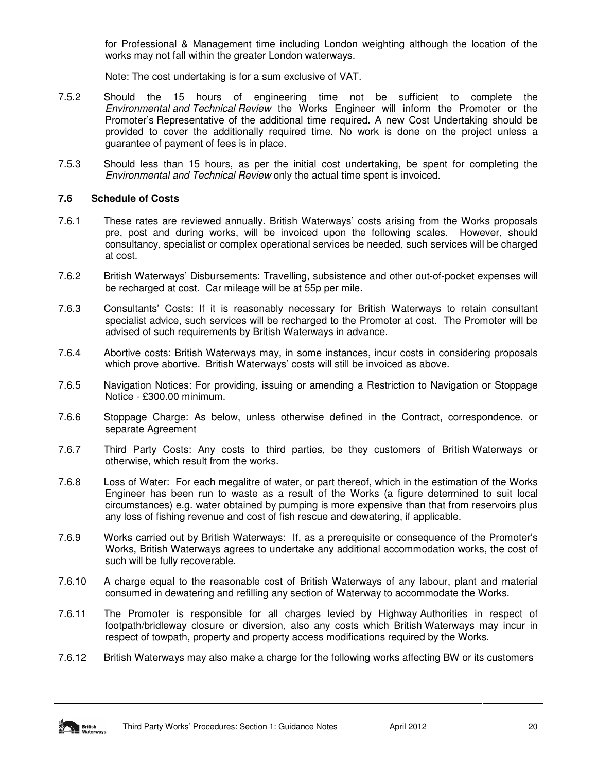for Professional & Management time including London weighting although the location of the works may not fall within the greater London waterways.

Note: The cost undertaking is for a sum exclusive of VAT.

- 7.5.2 Should the 15 hours of engineering time not be sufficient to complete the Environmental and Technical Review the Works Engineer will inform the Promoter or the Promoter's Representative of the additional time required. A new Cost Undertaking should be provided to cover the additionally required time. No work is done on the project unless a guarantee of payment of fees is in place.
- 7.5.3 Should less than 15 hours, as per the initial cost undertaking, be spent for completing the Environmental and Technical Review only the actual time spent is invoiced.

#### **7.6 Schedule of Costs**

- 7.6.1 These rates are reviewed annually. British Waterways' costs arising from the Works proposals pre, post and during works, will be invoiced upon the following scales. However, should consultancy, specialist or complex operational services be needed, such services will be charged at cost.
- 7.6.2 British Waterways' Disbursements: Travelling, subsistence and other out-of-pocket expenses will be recharged at cost. Car mileage will be at 55p per mile.
- 7.6.3 Consultants' Costs: If it is reasonably necessary for British Waterways to retain consultant specialist advice, such services will be recharged to the Promoter at cost. The Promoter will be advised of such requirements by British Waterways in advance.
- 7.6.4 Abortive costs: British Waterways may, in some instances, incur costs in considering proposals which prove abortive. British Waterways' costs will still be invoiced as above.
- 7.6.5 Navigation Notices: For providing, issuing or amending a Restriction to Navigation or Stoppage Notice - £300.00 minimum.
- 7.6.6 Stoppage Charge: As below, unless otherwise defined in the Contract, correspondence, or separate Agreement
- 7.6.7 Third Party Costs: Any costs to third parties, be they customers of British Waterways or otherwise, which result from the works.
- 7.6.8 Loss of Water: For each megalitre of water, or part thereof, which in the estimation of the Works Engineer has been run to waste as a result of the Works (a figure determined to suit local circumstances) e.g. water obtained by pumping is more expensive than that from reservoirs plus any loss of fishing revenue and cost of fish rescue and dewatering, if applicable.
- 7.6.9 Works carried out by British Waterways: If, as a prerequisite or consequence of the Promoter's Works, British Waterways agrees to undertake any additional accommodation works, the cost of such will be fully recoverable.
- 7.6.10 A charge equal to the reasonable cost of British Waterways of any labour, plant and material consumed in dewatering and refilling any section of Waterway to accommodate the Works.
- 7.6.11 The Promoter is responsible for all charges levied by Highway Authorities in respect of footpath/bridleway closure or diversion, also any costs which British Waterways may incur in respect of towpath, property and property access modifications required by the Works.
- 7.6.12 British Waterways may also make a charge for the following works affecting BW or its customers

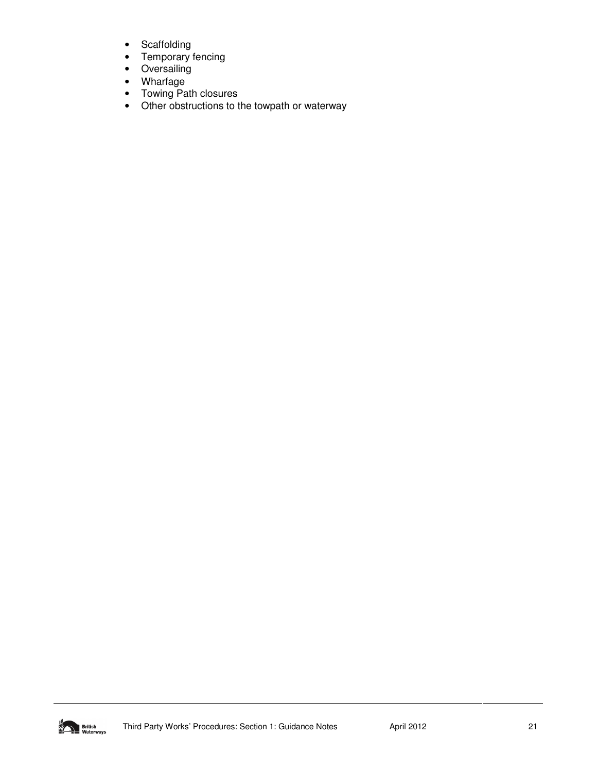- Scaffolding
- Temporary fencing
- Oversailing
- Wharfage
- Towing Path closures
- Other obstructions to the towpath or waterway

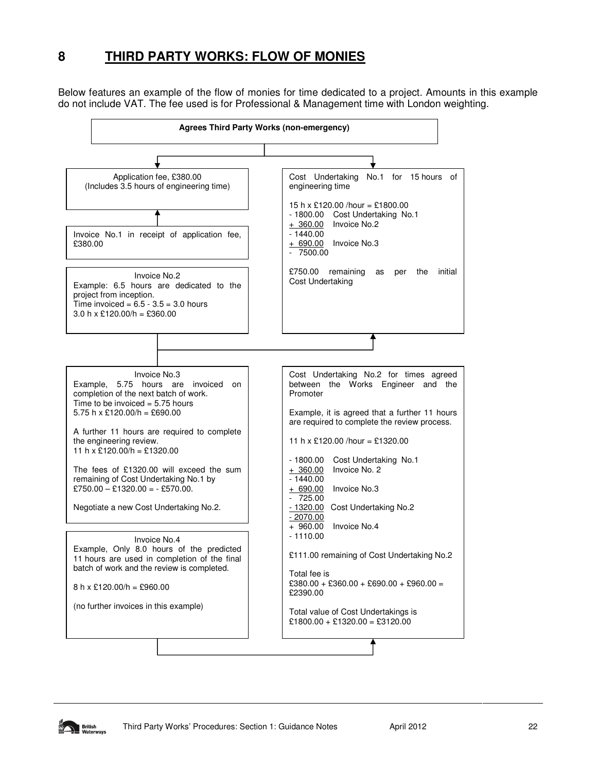## **8 THIRD PARTY WORKS: FLOW OF MONIES**

Below features an example of the flow of monies for time dedicated to a project. Amounts in this example do not include VAT. The fee used is for Professional & Management time with London weighting.